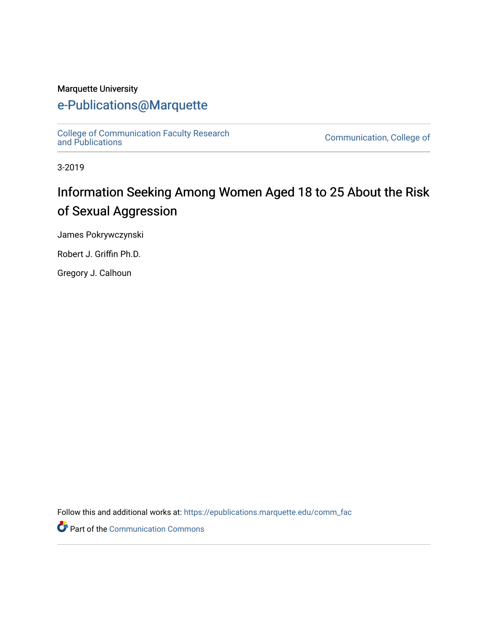### Marquette University

# [e-Publications@Marquette](https://epublications.marquette.edu/)

[College of Communication Faculty Research](https://epublications.marquette.edu/comm_fac) [and Publications](https://epublications.marquette.edu/comm_fac) [Communication, College of](https://epublications.marquette.edu/communication) 

3-2019

# Information Seeking Among Women Aged 18 to 25 About the Risk of Sexual Aggression

James Pokrywczynski

Robert J. Griffin Ph.D.

Gregory J. Calhoun

Follow this and additional works at: [https://epublications.marquette.edu/comm\\_fac](https://epublications.marquette.edu/comm_fac?utm_source=epublications.marquette.edu%2Fcomm_fac%2F524&utm_medium=PDF&utm_campaign=PDFCoverPages) 

Part of the [Communication Commons](http://network.bepress.com/hgg/discipline/325?utm_source=epublications.marquette.edu%2Fcomm_fac%2F524&utm_medium=PDF&utm_campaign=PDFCoverPages)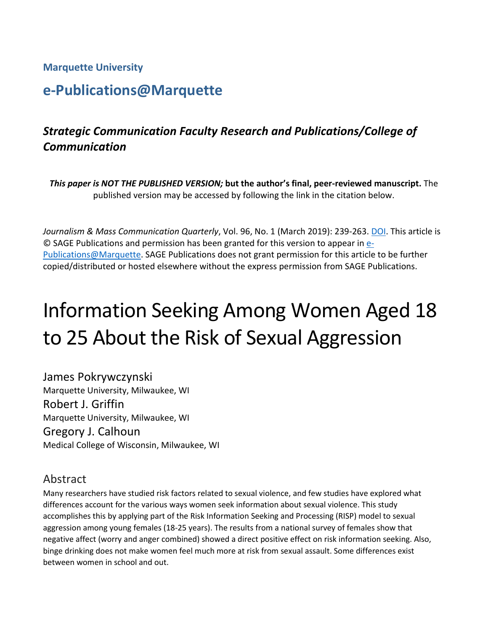### **Marquette University**

# **e-Publications@Marquette**

# *Strategic Communication Faculty Research and Publications/College of Communication*

*This paper is NOT THE PUBLISHED VERSION;* **but the author's final, peer-reviewed manuscript.** The published version may be accessed by following the link in the citation below.

*Journalism & Mass Communication Quarterly*, Vol. 96, No. 1 (March 2019): 239-263. [DOI.](file://vs-fs2/ACAD/LIB/The%20Commons/Projects/IR/IR%20training%20documents/dx.doi.org/10.1016/j.acalib.2009.06.017) This article is © SAGE Publications and permission has been granted for this version to appear in [e-](http://epublications.marquette.edu/)[Publications@Marquette.](http://epublications.marquette.edu/) SAGE Publications does not grant permission for this article to be further copied/distributed or hosted elsewhere without the express permission from SAGE Publications.

# Information Seeking Among Women Aged 18 to 25 About the Risk of Sexual Aggression

James Pokrywczynski Marquette University, Milwaukee, WI Robert J. Griffin Marquette University, Milwaukee, WI Gregory J. Calhoun Medical College of Wisconsin, Milwaukee, WI

# Abstract

Many researchers have studied risk factors related to sexual violence, and few studies have explored what differences account for the various ways women seek information about sexual violence. This study accomplishes this by applying part of the Risk Information Seeking and Processing (RISP) model to sexual aggression among young females (18-25 years). The results from a national survey of females show that negative affect (worry and anger combined) showed a direct positive effect on risk information seeking. Also, binge drinking does not make women feel much more at risk from sexual assault. Some differences exist between women in school and out.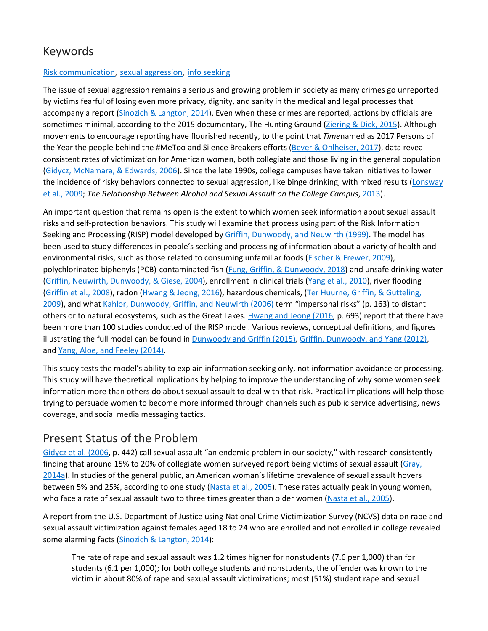# Keywords

#### [Risk communication,](https://journals.sagepub.com/keyword/Risk+Communication) [sexual aggression,](https://journals.sagepub.com/keyword/Sexual+Aggression) [info seeking](https://journals.sagepub.com/keyword/Info+Seeking)

The issue of sexual aggression remains a serious and growing problem in society as many crimes go unreported by victims fearful of losing even more privacy, dignity, and sanity in the medical and legal processes that accompany a report [\(Sinozich & Langton, 2014\)](https://journals.sagepub.com/doi/full/10.1177/1077699018801315). Even when these crimes are reported, actions by officials are sometimes minimal, according to the 2015 documentary, The Hunting Ground [\(Ziering & Dick, 2015\)](https://journals.sagepub.com/doi/full/10.1177/1077699018801315). Although movements to encourage reporting have flourished recently, to the point that *Time*named as 2017 Persons of the Year the people behind the #MeToo and Silence Breakers efforts [\(Bever & Ohlheiser, 2017\)](https://journals.sagepub.com/doi/full/10.1177/1077699018801315), data reveal consistent rates of victimization for American women, both collegiate and those living in the general population [\(Gidycz, McNamara, & Edwards, 2006\)](https://journals.sagepub.com/doi/full/10.1177/1077699018801315). Since the late 1990s, college campuses have taken initiatives to lower the incidence of risky behaviors connected to sexual aggression, like binge drinking, with mixed results [\(Lonsway](https://journals.sagepub.com/doi/full/10.1177/1077699018801315)  [et al., 2009;](https://journals.sagepub.com/doi/full/10.1177/1077699018801315) *The Relationship Between Alcohol and Sexual Assault on the College Campus*, [2013\)](https://journals.sagepub.com/doi/full/10.1177/1077699018801315).

An important question that remains open is the extent to which women seek information about sexual assault risks and self-protection behaviors. This study will examine that process using part of the Risk Information Seeking and Processing (RISP) model developed by [Griffin, Dunwoody, and Neuwirth \(1999\).](https://journals.sagepub.com/doi/full/10.1177/1077699018801315) The model has been used to study differences in people's seeking and processing of information about a variety of health and environmental risks, such as those related to consuming unfamiliar foods [\(Fischer & Frewer, 2009\)](https://journals.sagepub.com/doi/full/10.1177/1077699018801315), polychlorinated biphenyls (PCB)-contaminated fish [\(Fung, Griffin, & Dunwoody, 2018\)](https://journals.sagepub.com/doi/full/10.1177/1077699018801315) and unsafe drinking water [\(Griffin, Neuwirth, Dunwoody, & Giese, 2004\)](https://journals.sagepub.com/doi/full/10.1177/1077699018801315), enrollment in clinical trials [\(Yang et al., 2010\)](https://journals.sagepub.com/doi/full/10.1177/1077699018801315), river flooding [\(Griffin et al., 2008\)](https://journals.sagepub.com/doi/full/10.1177/1077699018801315), radon [\(Hwang & Jeong, 2016\)](https://journals.sagepub.com/doi/full/10.1177/1077699018801315), hazardous chemicals, [\(Ter Huurne, Griffin, & Gutteling,](https://journals.sagepub.com/doi/full/10.1177/1077699018801315)  [2009\)](https://journals.sagepub.com/doi/full/10.1177/1077699018801315), and what [Kahlor, Dunwoody, Griffin, and Neuwirth \(2006\)](https://journals.sagepub.com/doi/full/10.1177/1077699018801315) term "impersonal risks" (p. 163) to distant others or to natural ecosystems, such as the Great Lakes. [Hwang and Jeong \(2016,](https://journals.sagepub.com/doi/full/10.1177/1077699018801315) p. 693) report that there have been more than 100 studies conducted of the RISP model. Various reviews, conceptual definitions, and figures illustrating the full model can be found in [Dunwoody and Griffin \(2015\),](https://journals.sagepub.com/doi/full/10.1177/1077699018801315) [Griffin, Dunwoody, and Yang \(2012\),](https://journals.sagepub.com/doi/full/10.1177/1077699018801315) and [Yang, Aloe, and Feeley \(2014\).](https://journals.sagepub.com/doi/full/10.1177/1077699018801315)

This study tests the model's ability to explain information seeking only, not information avoidance or processing. This study will have theoretical implications by helping to improve the understanding of why some women seek information more than others do about sexual assault to deal with that risk. Practical implications will help those trying to persuade women to become more informed through channels such as public service advertising, news coverage, and social media messaging tactics.

# Present Status of the Problem

[Gidycz et al. \(2006,](https://journals.sagepub.com/doi/full/10.1177/1077699018801315) p. 442) call sexual assault "an endemic problem in our society," with research consistently finding that around 15% to 20% of collegiate women surveyed report being victims of sexual assault (Gray, [2014a\)](https://journals.sagepub.com/doi/full/10.1177/1077699018801315). In studies of the general public, an American woman's lifetime prevalence of sexual assault hovers between 5% and 25%, according to one study [\(Nasta et al., 2005\)](https://journals.sagepub.com/doi/full/10.1177/1077699018801315). These rates actually peak in young women, who face a rate of sexual assault two to three times greater than older women [\(Nasta et al., 2005\)](https://journals.sagepub.com/doi/full/10.1177/1077699018801315).

A report from the U.S. Department of Justice using National Crime Victimization Survey (NCVS) data on rape and sexual assault victimization against females aged 18 to 24 who are enrolled and not enrolled in college revealed some alarming facts [\(Sinozich & Langton, 2014\)](https://journals.sagepub.com/doi/full/10.1177/1077699018801315):

The rate of rape and sexual assault was 1.2 times higher for nonstudents (7.6 per 1,000) than for students (6.1 per 1,000); for both college students and nonstudents, the offender was known to the victim in about 80% of rape and sexual assault victimizations; most (51%) student rape and sexual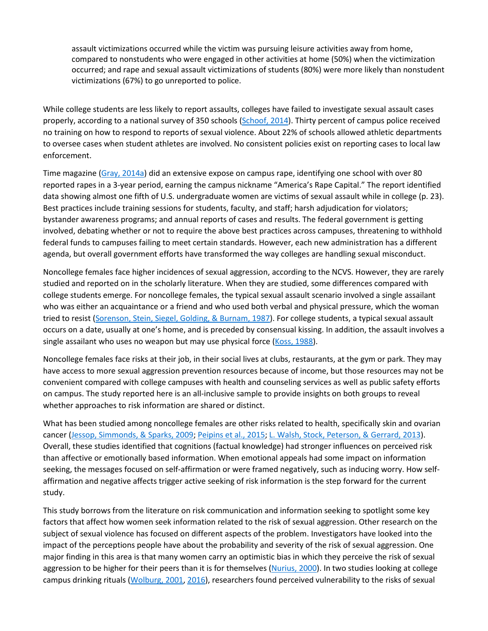assault victimizations occurred while the victim was pursuing leisure activities away from home, compared to nonstudents who were engaged in other activities at home (50%) when the victimization occurred; and rape and sexual assault victimizations of students (80%) were more likely than nonstudent victimizations (67%) to go unreported to police.

While college students are less likely to report assaults, colleges have failed to investigate sexual assault cases properly, according to a national survey of 350 schools [\(Schoof, 2014\)](https://journals.sagepub.com/doi/full/10.1177/1077699018801315). Thirty percent of campus police received no training on how to respond to reports of sexual violence. About 22% of schools allowed athletic departments to oversee cases when student athletes are involved. No consistent policies exist on reporting cases to local law enforcement.

Time magazine [\(Gray, 2014a\)](https://journals.sagepub.com/doi/full/10.1177/1077699018801315) did an extensive expose on campus rape, identifying one school with over 80 reported rapes in a 3-year period, earning the campus nickname "America's Rape Capital." The report identified data showing almost one fifth of U.S. undergraduate women are victims of sexual assault while in college (p. 23). Best practices include training sessions for students, faculty, and staff; harsh adjudication for violators; bystander awareness programs; and annual reports of cases and results. The federal government is getting involved, debating whether or not to require the above best practices across campuses, threatening to withhold federal funds to campuses failing to meet certain standards. However, each new administration has a different agenda, but overall government efforts have transformed the way colleges are handling sexual misconduct.

Noncollege females face higher incidences of sexual aggression, according to the NCVS. However, they are rarely studied and reported on in the scholarly literature. When they are studied, some differences compared with college students emerge. For noncollege females, the typical sexual assault scenario involved a single assailant who was either an acquaintance or a friend and who used both verbal and physical pressure, which the woman tried to resist [\(Sorenson, Stein, Siegel, Golding, & Burnam, 1987\)](https://journals.sagepub.com/doi/full/10.1177/1077699018801315). For college students, a typical sexual assault occurs on a date, usually at one's home, and is preceded by consensual kissing. In addition, the assault involves a single assailant who uses no weapon but may use physical force [\(Koss, 1988\)](https://journals.sagepub.com/doi/full/10.1177/1077699018801315).

Noncollege females face risks at their job, in their social lives at clubs, restaurants, at the gym or park. They may have access to more sexual aggression prevention resources because of income, but those resources may not be convenient compared with college campuses with health and counseling services as well as public safety efforts on campus. The study reported here is an all-inclusive sample to provide insights on both groups to reveal whether approaches to risk information are shared or distinct.

What has been studied among noncollege females are other risks related to health, specifically skin and ovarian cancer [\(Jessop, Simmonds, & Sparks, 2009;](https://journals.sagepub.com/doi/full/10.1177/1077699018801315) [Peipins et al., 2015;](https://journals.sagepub.com/doi/full/10.1177/1077699018801315) [L. Walsh, Stock, Peterson, & Gerrard, 2013\)](https://journals.sagepub.com/doi/full/10.1177/1077699018801315). Overall, these studies identified that cognitions (factual knowledge) had stronger influences on perceived risk than affective or emotionally based information. When emotional appeals had some impact on information seeking, the messages focused on self-affirmation or were framed negatively, such as inducing worry. How selfaffirmation and negative affects trigger active seeking of risk information is the step forward for the current study.

This study borrows from the literature on risk communication and information seeking to spotlight some key factors that affect how women seek information related to the risk of sexual aggression. Other research on the subject of sexual violence has focused on different aspects of the problem. Investigators have looked into the impact of the perceptions people have about the probability and severity of the risk of sexual aggression. One major finding in this area is that many women carry an optimistic bias in which they perceive the risk of sexual aggression to be higher for their peers than it is for themselves [\(Nurius, 2000\)](https://journals.sagepub.com/doi/full/10.1177/1077699018801315). In two studies looking at college campus drinking rituals [\(Wolburg, 2001,](https://journals.sagepub.com/doi/full/10.1177/1077699018801315) [2016\)](https://journals.sagepub.com/doi/full/10.1177/1077699018801315), researchers found perceived vulnerability to the risks of sexual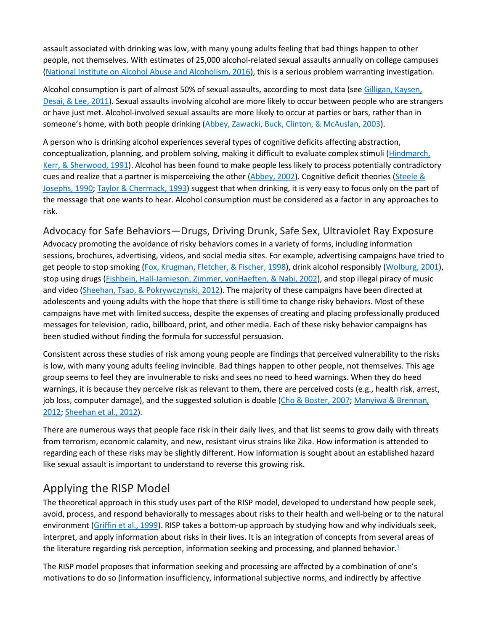assault associated with drinking was low, with many young adults feeling that bad things happen to other people, not themselves. With estimates of 25,000 alcohol-related sexual assaults annually on college campuses [\(National Institute on Alcohol Abuse and Alcoholism, 2016\)](https://journals.sagepub.com/doi/full/10.1177/1077699018801315), this is a serious problem warranting investigation.

Alcohol consumption is part of almost 50% of sexual assaults, according to most data (see [Gilligan, Kaysen,](https://journals.sagepub.com/doi/full/10.1177/1077699018801315)  [Desai, & Lee, 2011\)](https://journals.sagepub.com/doi/full/10.1177/1077699018801315). Sexual assaults involving alcohol are more likely to occur between people who are strangers or have just met. Alcohol-involved sexual assaults are more likely to occur at parties or bars, rather than in someone's home, with both people drinking [\(Abbey, Zawacki, Buck, Clinton, & McAuslan, 2003\)](https://journals.sagepub.com/doi/full/10.1177/1077699018801315).

A person who is drinking alcohol experiences several types of cognitive deficits affecting abstraction, conceptualization, planning, and problem solving, making it difficult to evaluate complex stimuli [\(Hindmarch,](https://journals.sagepub.com/doi/full/10.1177/1077699018801315)  [Kerr, & Sherwood, 1991\)](https://journals.sagepub.com/doi/full/10.1177/1077699018801315). Alcohol has been found to make people less likely to process potentially contradictory cues and realize that a partner is misperceiving the other [\(Abbey, 2002\)](https://journals.sagepub.com/doi/full/10.1177/1077699018801315). Cognitive deficit theories [\(Steele &](https://journals.sagepub.com/doi/full/10.1177/1077699018801315)  [Josephs, 1990;](https://journals.sagepub.com/doi/full/10.1177/1077699018801315) [Taylor & Chermack, 1993\)](https://journals.sagepub.com/doi/full/10.1177/1077699018801315) suggest that when drinking, it is very easy to focus only on the part of the message that one wants to hear. Alcohol consumption must be considered as a factor in any approaches to risk.

Advocacy for Safe Behaviors—Drugs, Driving Drunk, Safe Sex, Ultraviolet Ray Exposure Advocacy promoting the avoidance of risky behaviors comes in a variety of forms, including information sessions, brochures, advertising, videos, and social media sites. For example, advertising campaigns have tried to get people to stop smoking [\(Fox, Krugman, Fletcher, & Fischer, 1998\)](https://journals.sagepub.com/doi/full/10.1177/1077699018801315), drink alcohol responsibly [\(Wolburg, 2001\)](https://journals.sagepub.com/doi/full/10.1177/1077699018801315), stop using drugs [\(Fishbein, Hall-Jamieson, Zimmer, vonHaeften, & Nabi, 2002\)](https://journals.sagepub.com/doi/full/10.1177/1077699018801315), and stop illegal piracy of music and video [\(Sheehan, Tsao, & Pokrywczynski, 2012\)](https://journals.sagepub.com/doi/full/10.1177/1077699018801315). The majority of these campaigns have been directed at adolescents and young adults with the hope that there is still time to change risky behaviors. Most of these campaigns have met with limited success, despite the expenses of creating and placing professionally produced messages for television, radio, billboard, print, and other media. Each of these risky behavior campaigns has been studied without finding the formula for successful persuasion.

Consistent across these studies of risk among young people are findings that perceived vulnerability to the risks is low, with many young adults feeling invincible. Bad things happen to other people, not themselves. This age group seems to feel they are invulnerable to risks and sees no need to heed warnings. When they do heed warnings, it is because they perceive risk as relevant to them, there are perceived costs (e.g., health risk, arrest, job loss, computer damage), and the suggested solution is doable [\(Cho & Boster, 2007;](https://journals.sagepub.com/doi/full/10.1177/1077699018801315) Manyiwa & Brennan, [2012;](https://journals.sagepub.com/doi/full/10.1177/1077699018801315) [Sheehan et al., 2012\)](https://journals.sagepub.com/doi/full/10.1177/1077699018801315).

There are numerous ways that people face risk in their daily lives, and that list seems to grow daily with threats from terrorism, economic calamity, and new, resistant virus strains like Zika. How information is attended to regarding each of these risks may be slightly different. How information is sought about an established hazard like sexual assault is important to understand to reverse this growing risk.

# Applying the RISP Model

The theoretical approach in this study uses part of the RISP model, developed to understand how people seek, avoid, process, and respond behaviorally to messages about risks to their health and well-being or to the natural environment [\(Griffin et al., 1999\)](https://journals.sagepub.com/doi/full/10.1177/1077699018801315). RISP takes a bottom-up approach by studying how and why individuals seek, interpret, and apply information about risks in their lives. It is an integration of concepts from several areas of the literature regarding risk perception, information seeking and processing, and planned behavior.<sup>1</sup>

The RISP model proposes that information seeking and processing are affected by a combination of one's motivations to do so (information insufficiency, informational subjective norms, and indirectly by affective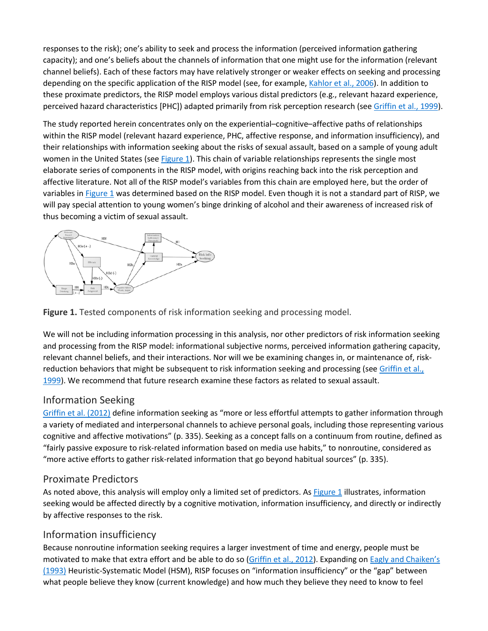responses to the risk); one's ability to seek and process the information (perceived information gathering capacity); and one's beliefs about the channels of information that one might use for the information (relevant channel beliefs). Each of these factors may have relatively stronger or weaker effects on seeking and processing depending on the specific application of the RISP model (see, for example, [Kahlor et al., 2006\)](https://journals.sagepub.com/doi/full/10.1177/1077699018801315). In addition to these proximate predictors, the RISP model employs various distal predictors (e.g., relevant hazard experience, perceived hazard characteristics [PHC]) adapted primarily from risk perception research (see [Griffin et al., 1999\)](https://journals.sagepub.com/doi/full/10.1177/1077699018801315).

The study reported herein concentrates only on the experiential–cognitive–affective paths of relationships within the RISP model (relevant hazard experience, PHC, affective response, and information insufficiency), and their relationships with information seeking about the risks of sexual assault, based on a sample of young adult women in the United States (see [Figure 1\)](https://journals.sagepub.com/doi/full/10.1177/1077699018801315). This chain of variable relationships represents the single most elaborate series of components in the RISP model, with origins reaching back into the risk perception and affective literature. Not all of the RISP model's variables from this chain are employed here, but the order of variables in [Figure 1](https://journals.sagepub.com/doi/full/10.1177/1077699018801315) was determined based on the RISP model. Even though it is not a standard part of RISP, we will pay special attention to young women's binge drinking of alcohol and their awareness of increased risk of thus becoming a victim of sexual assault.



**Figure 1.** Tested components of risk information seeking and processing model.

We will not be including information processing in this analysis, nor other predictors of risk information seeking and processing from the RISP model: informational subjective norms, perceived information gathering capacity, relevant channel beliefs, and their interactions. Nor will we be examining changes in, or maintenance of, riskreduction behaviors that might be subsequent to risk information seeking and processing (see [Griffin et al.,](https://journals.sagepub.com/doi/full/10.1177/1077699018801315)  [1999\)](https://journals.sagepub.com/doi/full/10.1177/1077699018801315). We recommend that future research examine these factors as related to sexual assault.

### Information Seeking

[Griffin et al. \(2012\)](https://journals.sagepub.com/doi/full/10.1177/1077699018801315) define information seeking as "more or less effortful attempts to gather information through a variety of mediated and interpersonal channels to achieve personal goals, including those representing various cognitive and affective motivations" (p. 335). Seeking as a concept falls on a continuum from routine, defined as "fairly passive exposure to risk-related information based on media use habits," to nonroutine, considered as "more active efforts to gather risk-related information that go beyond habitual sources" (p. 335).

### Proximate Predictors

As noted above, this analysis will employ only a limited set of predictors. As [Figure 1](https://journals.sagepub.com/doi/full/10.1177/1077699018801315) illustrates, information seeking would be affected directly by a cognitive motivation, information insufficiency, and directly or indirectly by affective responses to the risk.

# Information insufficiency

Because nonroutine information seeking requires a larger investment of time and energy, people must be motivated to make that extra effort and be able to do so [\(Griffin et al., 2012\)](https://journals.sagepub.com/doi/full/10.1177/1077699018801315). Expanding on Eagly and Chaiken's [\(1993\)](https://journals.sagepub.com/doi/full/10.1177/1077699018801315) Heuristic-Systematic Model (HSM), RISP focuses on "information insufficiency" or the "gap" between what people believe they know (current knowledge) and how much they believe they need to know to feel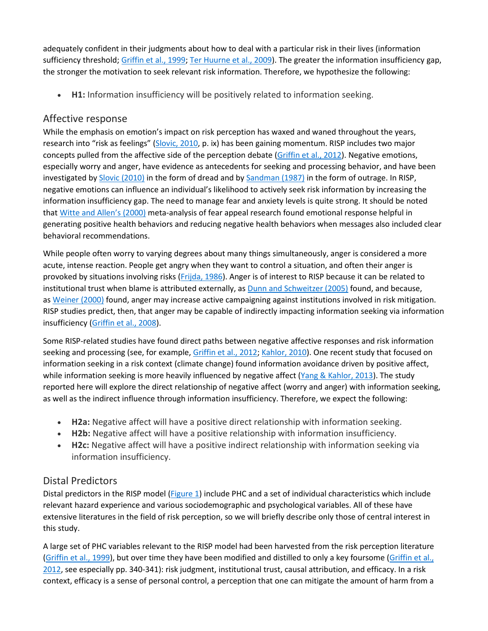adequately confident in their judgments about how to deal with a particular risk in their lives (information sufficiency threshold; [Griffin et al., 1999;](https://journals.sagepub.com/doi/full/10.1177/1077699018801315) [Ter Huurne et al., 2009\)](https://journals.sagepub.com/doi/full/10.1177/1077699018801315). The greater the information insufficiency gap, the stronger the motivation to seek relevant risk information. Therefore, we hypothesize the following:

• **H1:** Information insufficiency will be positively related to information seeking.

### Affective response

While the emphasis on emotion's impact on risk perception has waxed and waned throughout the years, research into "risk as feelings" [\(Slovic, 2010,](https://journals.sagepub.com/doi/full/10.1177/1077699018801315) p. ix) has been gaining momentum. RISP includes two major concepts pulled from the affective side of the perception debate [\(Griffin et al., 2012\)](https://journals.sagepub.com/doi/full/10.1177/1077699018801315). Negative emotions, especially worry and anger, have evidence as antecedents for seeking and processing behavior, and have been investigated by [Slovic \(2010\)](https://journals.sagepub.com/doi/full/10.1177/1077699018801315) in the form of dread and by [Sandman \(1987\)](https://journals.sagepub.com/doi/full/10.1177/1077699018801315) in the form of outrage. In RISP, negative emotions can influence an individual's likelihood to actively seek risk information by increasing the information insufficiency gap. The need to manage fear and anxiety levels is quite strong. It should be noted that [Witte and Allen's \(2000\)](https://journals.sagepub.com/doi/full/10.1177/1077699018801315) meta-analysis of fear appeal research found emotional response helpful in generating positive health behaviors and reducing negative health behaviors when messages also included clear behavioral recommendations.

While people often worry to varying degrees about many things simultaneously, anger is considered a more acute, intense reaction. People get angry when they want to control a situation, and often their anger is provoked by situations involving risks [\(Frijda, 1986\)](https://journals.sagepub.com/doi/full/10.1177/1077699018801315). Anger is of interest to RISP because it can be related to institutional trust when blame is attributed externally, as [Dunn and Schweitzer \(2005\)](https://journals.sagepub.com/doi/full/10.1177/1077699018801315) found, and because, as [Weiner \(2000\)](https://journals.sagepub.com/doi/full/10.1177/1077699018801315) found, anger may increase active campaigning against institutions involved in risk mitigation. RISP studies predict, then, that anger may be capable of indirectly impacting information seeking via information insufficiency [\(Griffin et al., 2008\)](https://journals.sagepub.com/doi/full/10.1177/1077699018801315).

Some RISP-related studies have found direct paths between negative affective responses and risk information seeking and processing (see, for example, [Griffin et al., 2012;](https://journals.sagepub.com/doi/full/10.1177/1077699018801315) [Kahlor, 2010\)](https://journals.sagepub.com/doi/full/10.1177/1077699018801315). One recent study that focused on information seeking in a risk context (climate change) found information avoidance driven by positive affect, while information seeking is more heavily influenced by negative affect ( $\frac{\text{Yang } 8 \text{ Kahlor, 2013}}{\text{Long}}$ ). The study reported here will explore the direct relationship of negative affect (worry and anger) with information seeking, as well as the indirect influence through information insufficiency. Therefore, we expect the following:

- **H2a:** Negative affect will have a positive direct relationship with information seeking.
- **H2b:** Negative affect will have a positive relationship with information insufficiency.
- **H2c:** Negative affect will have a positive indirect relationship with information seeking via information insufficiency.

# Distal Predictors

Distal predictors in the RISP model [\(Figure 1\)](https://journals.sagepub.com/doi/full/10.1177/1077699018801315) include PHC and a set of individual characteristics which include relevant hazard experience and various sociodemographic and psychological variables. All of these have extensive literatures in the field of risk perception, so we will briefly describe only those of central interest in this study.

A large set of PHC variables relevant to the RISP model had been harvested from the risk perception literature [\(Griffin et al., 1999\)](https://journals.sagepub.com/doi/full/10.1177/1077699018801315), but over time they have been modified and distilled to only a key foursome [\(Griffin et al.,](https://journals.sagepub.com/doi/full/10.1177/1077699018801315)  [2012,](https://journals.sagepub.com/doi/full/10.1177/1077699018801315) see especially pp. 340-341): risk judgment, institutional trust, causal attribution, and efficacy. In a risk context, efficacy is a sense of personal control, a perception that one can mitigate the amount of harm from a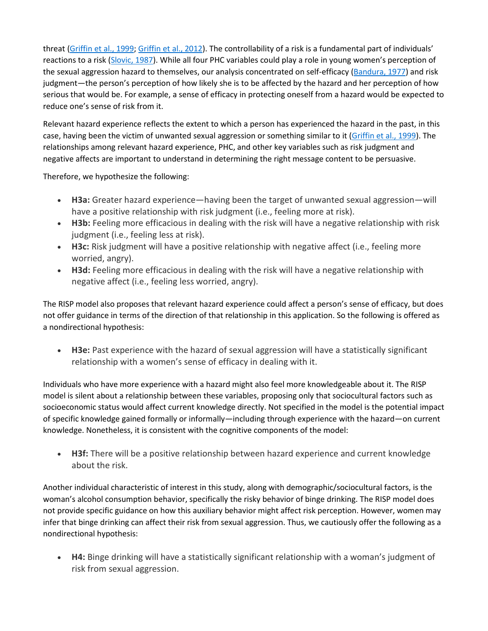threat [\(Griffin et al., 1999;](https://journals.sagepub.com/doi/full/10.1177/1077699018801315) [Griffin et al., 2012\)](https://journals.sagepub.com/doi/full/10.1177/1077699018801315). The controllability of a risk is a fundamental part of individuals' reactions to a risk [\(Slovic, 1987\)](https://journals.sagepub.com/doi/full/10.1177/1077699018801315). While all four PHC variables could play a role in young women's perception of the sexual aggression hazard to themselves, our analysis concentrated on self-efficacy [\(Bandura, 1977\)](https://journals.sagepub.com/doi/full/10.1177/1077699018801315) and risk judgment—the person's perception of how likely she is to be affected by the hazard and her perception of how serious that would be. For example, a sense of efficacy in protecting oneself from a hazard would be expected to reduce one's sense of risk from it.

Relevant hazard experience reflects the extent to which a person has experienced the hazard in the past, in this case, having been the victim of unwanted sexual aggression or something similar to it [\(Griffin et al., 1999\)](https://journals.sagepub.com/doi/full/10.1177/1077699018801315). The relationships among relevant hazard experience, PHC, and other key variables such as risk judgment and negative affects are important to understand in determining the right message content to be persuasive.

Therefore, we hypothesize the following:

- **H3a:** Greater hazard experience—having been the target of unwanted sexual aggression—will have a positive relationship with risk judgment (i.e., feeling more at risk).
- **H3b:** Feeling more efficacious in dealing with the risk will have a negative relationship with risk judgment (i.e., feeling less at risk).
- **H3c:** Risk judgment will have a positive relationship with negative affect (i.e., feeling more worried, angry).
- **H3d:** Feeling more efficacious in dealing with the risk will have a negative relationship with negative affect (i.e., feeling less worried, angry).

The RISP model also proposes that relevant hazard experience could affect a person's sense of efficacy, but does not offer guidance in terms of the direction of that relationship in this application. So the following is offered as a nondirectional hypothesis:

• **H3e:** Past experience with the hazard of sexual aggression will have a statistically significant relationship with a women's sense of efficacy in dealing with it.

Individuals who have more experience with a hazard might also feel more knowledgeable about it. The RISP model is silent about a relationship between these variables, proposing only that sociocultural factors such as socioeconomic status would affect current knowledge directly. Not specified in the model is the potential impact of specific knowledge gained formally or informally—including through experience with the hazard—on current knowledge. Nonetheless, it is consistent with the cognitive components of the model:

• **H3f:** There will be a positive relationship between hazard experience and current knowledge about the risk.

Another individual characteristic of interest in this study, along with demographic/sociocultural factors, is the woman's alcohol consumption behavior, specifically the risky behavior of binge drinking. The RISP model does not provide specific guidance on how this auxiliary behavior might affect risk perception. However, women may infer that binge drinking can affect their risk from sexual aggression. Thus, we cautiously offer the following as a nondirectional hypothesis:

• **H4:** Binge drinking will have a statistically significant relationship with a woman's judgment of risk from sexual aggression.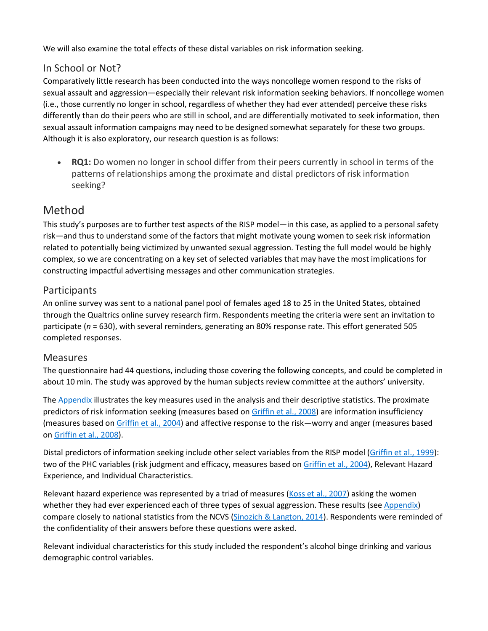We will also examine the total effects of these distal variables on risk information seeking.

### In School or Not?

Comparatively little research has been conducted into the ways noncollege women respond to the risks of sexual assault and aggression—especially their relevant risk information seeking behaviors. If noncollege women (i.e., those currently no longer in school, regardless of whether they had ever attended) perceive these risks differently than do their peers who are still in school, and are differentially motivated to seek information, then sexual assault information campaigns may need to be designed somewhat separately for these two groups. Although it is also exploratory, our research question is as follows:

• **RQ1:** Do women no longer in school differ from their peers currently in school in terms of the patterns of relationships among the proximate and distal predictors of risk information seeking?

# Method

This study's purposes are to further test aspects of the RISP model—in this case, as applied to a personal safety risk—and thus to understand some of the factors that might motivate young women to seek risk information related to potentially being victimized by unwanted sexual aggression. Testing the full model would be highly complex, so we are concentrating on a key set of selected variables that may have the most implications for constructing impactful advertising messages and other communication strategies.

### Participants

An online survey was sent to a national panel pool of females aged 18 to 25 in the United States, obtained through the Qualtrics online survey research firm. Respondents meeting the criteria were sent an invitation to participate (*n* = 630), with several reminders, generating an 80% response rate. This effort generated 505 completed responses.

### Measures

The questionnaire had 44 questions, including those covering the following concepts, and could be completed in about 10 min. The study was approved by the human subjects review committee at the authors' university.

The [Appendix](https://journals.sagepub.com/doi/full/10.1177/1077699018801315) illustrates the key measures used in the analysis and their descriptive statistics. The proximate predictors of risk information seeking (measures based on [Griffin et al., 2008\)](https://journals.sagepub.com/doi/full/10.1177/1077699018801315) are information insufficiency (measures based on [Griffin et al., 2004\)](https://journals.sagepub.com/doi/full/10.1177/1077699018801315) and affective response to the risk—worry and anger (measures based on [Griffin et al., 2008\)](https://journals.sagepub.com/doi/full/10.1177/1077699018801315).

Distal predictors of information seeking include other select variables from the RISP model [\(Griffin et al., 1999\)](https://journals.sagepub.com/doi/full/10.1177/1077699018801315): two of the PHC variables (risk judgment and efficacy, measures based on [Griffin et al., 2004\)](https://journals.sagepub.com/doi/full/10.1177/1077699018801315), Relevant Hazard Experience, and Individual Characteristics.

Relevant hazard experience was represented by a triad of measures [\(Koss et al., 2007\)](https://journals.sagepub.com/doi/full/10.1177/1077699018801315) asking the women whether they had ever experienced each of three types of sexual aggression. These results (see [Appendix\)](https://journals.sagepub.com/doi/full/10.1177/1077699018801315) compare closely to national statistics from the NCVS [\(Sinozich & Langton, 2014\)](https://journals.sagepub.com/doi/full/10.1177/1077699018801315). Respondents were reminded of the confidentiality of their answers before these questions were asked.

Relevant individual characteristics for this study included the respondent's alcohol binge drinking and various demographic control variables.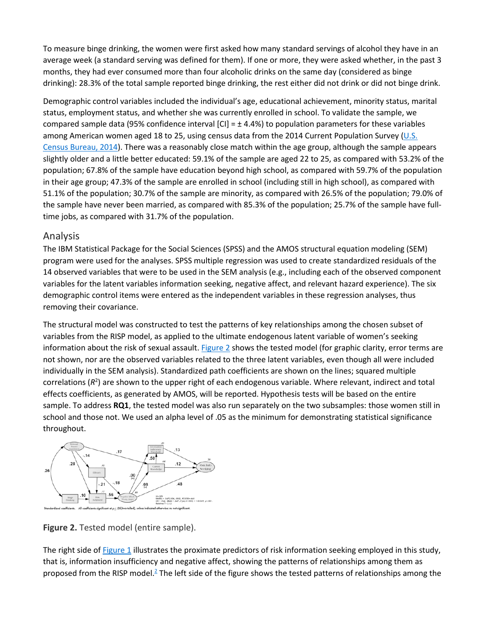To measure binge drinking, the women were first asked how many standard servings of alcohol they have in an average week (a standard serving was defined for them). If one or more, they were asked whether, in the past 3 months, they had ever consumed more than four alcoholic drinks on the same day (considered as binge drinking): 28.3% of the total sample reported binge drinking, the rest either did not drink or did not binge drink.

Demographic control variables included the individual's age, educational achievement, minority status, marital status, employment status, and whether she was currently enrolled in school. To validate the sample, we compared sample data (95% confidence interval  $\text{[CI]} = \pm 4.4\%$ ) to population parameters for these variables among American women aged 18 to 25, using census data from the 2014 Current Population Survey (U.S. [Census Bureau, 2014\)](https://journals.sagepub.com/doi/full/10.1177/1077699018801315). There was a reasonably close match within the age group, although the sample appears slightly older and a little better educated: 59.1% of the sample are aged 22 to 25, as compared with 53.2% of the population; 67.8% of the sample have education beyond high school, as compared with 59.7% of the population in their age group; 47.3% of the sample are enrolled in school (including still in high school), as compared with 51.1% of the population; 30.7% of the sample are minority, as compared with 26.5% of the population; 79.0% of the sample have never been married, as compared with 85.3% of the population; 25.7% of the sample have fulltime jobs, as compared with 31.7% of the population.

#### Analysis

The IBM Statistical Package for the Social Sciences (SPSS) and the AMOS structural equation modeling (SEM) program were used for the analyses. SPSS multiple regression was used to create standardized residuals of the 14 observed variables that were to be used in the SEM analysis (e.g., including each of the observed component variables for the latent variables information seeking, negative affect, and relevant hazard experience). The six demographic control items were entered as the independent variables in these regression analyses, thus removing their covariance.

The structural model was constructed to test the patterns of key relationships among the chosen subset of variables from the RISP model, as applied to the ultimate endogenous latent variable of women's seeking information about the risk of sexual assault. [Figure 2](https://journals.sagepub.com/doi/full/10.1177/1077699018801315) shows the tested model (for graphic clarity, error terms are not shown, nor are the observed variables related to the three latent variables, even though all were included individually in the SEM analysis). Standardized path coefficients are shown on the lines; squared multiple correlations (R<sup>2</sup>) are shown to the upper right of each endogenous variable. Where relevant, indirect and total effects coefficients, as generated by AMOS, will be reported. Hypothesis tests will be based on the entire sample. To address **RQ1**, the tested model was also run separately on the two subsamples: those women still in school and those not. We used an alpha level of .05 as the minimum for demonstrating statistical significance throughout.



**Figure 2.** Tested model (entire sample).

The right side of [Figure 1](https://journals.sagepub.com/doi/full/10.1177/1077699018801315) illustrates the proximate predictors of risk information seeking employed in this study, that is, information insufficiency and negative affect, showing the patterns of relationships among them as proposed from the RISP model. $^2$  The left side of the figure shows the tested patterns of relationships among the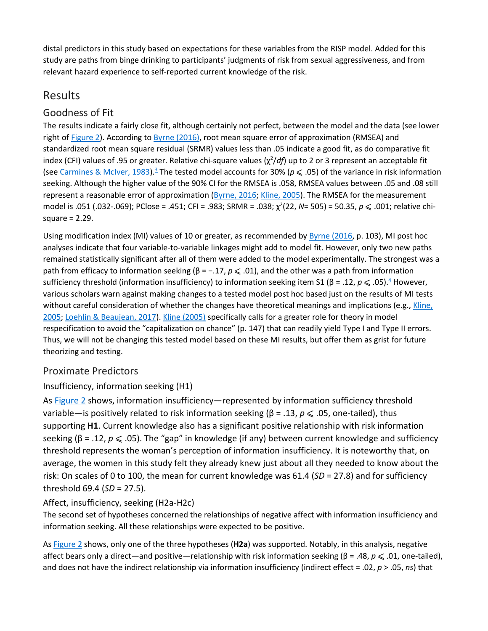distal predictors in this study based on expectations for these variables from the RISP model. Added for this study are paths from binge drinking to participants' judgments of risk from sexual aggressiveness, and from relevant hazard experience to self-reported current knowledge of the risk.

# Results

# Goodness of Fit

The results indicate a fairly close fit, although certainly not perfect, between the model and the data (see lower right of [Figure 2\)](https://journals.sagepub.com/doi/full/10.1177/1077699018801315). According to [Byrne \(2016\),](https://journals.sagepub.com/doi/full/10.1177/1077699018801315) root mean square error of approximation (RMSEA) and standardized root mean square residual (SRMR) values less than .05 indicate a good fit, as do comparative fit index (CFI) values of .95 or greater. Relative chi-square values (χ<sup>2</sup>/df) up to 2 or 3 represent an acceptable fit (see [Carmines & McIver, 1983\)](https://journals.sagepub.com/doi/full/10.1177/1077699018801315).<sup>3</sup> The tested model accounts for 30% ( $p \leqslant .05$ ) of the variance in risk information seeking. Although the higher value of the 90% CI for the RMSEA is .058, RMSEA values between .05 and .08 still represent a reasonable error of approximation [\(Byrne, 2016;](https://journals.sagepub.com/doi/full/10.1177/1077699018801315) [Kline, 2005\)](https://journals.sagepub.com/doi/full/10.1177/1077699018801315). The RMSEA for the measurement model is .051 (.032-.069); PClose = .451; CFI = .983; SRMR = .038; χ<sup>2</sup> (22, *N*= 505) = 50.35, *p* ⩽ .001; relative chisquare = 2.29.

Using modification index (MI) values of 10 or greater, as recommended by [Byrne \(2016,](https://journals.sagepub.com/doi/full/10.1177/1077699018801315) p. 103), MI post hoc analyses indicate that four variable-to-variable linkages might add to model fit. However, only two new paths remained statistically significant after all of them were added to the model experimentally. The strongest was a path from efficacy to information seeking (β = −.17, *p* ⩽ .01), and the other was a path from information sufficiency threshold (information insufficiency) to information seeking item S1 (β = .12, *p* ≤ .05).<sup>4</sup> However, various scholars warn against making changes to a tested model post hoc based just on the results of MI tests without careful consideration of whether the changes have theoretical meanings and implications (e.g., Kline, [2005;](https://journals.sagepub.com/doi/full/10.1177/1077699018801315) [Loehlin & Beaujean, 2017\)](https://journals.sagepub.com/doi/full/10.1177/1077699018801315). [Kline \(2005\)](https://journals.sagepub.com/doi/full/10.1177/1077699018801315) specifically calls for a greater role for theory in model respecification to avoid the "capitalization on chance" (p. 147) that can readily yield Type I and Type II errors. Thus, we will not be changing this tested model based on these MI results, but offer them as grist for future theorizing and testing.

# Proximate Predictors

# Insufficiency, information seeking (H1)

As [Figure 2](https://journals.sagepub.com/doi/full/10.1177/1077699018801315) shows, information insufficiency—represented by information sufficiency threshold variable—is positively related to risk information seeking (β = .13, *p* ⩽ .05, one-tailed), thus supporting **H1**. Current knowledge also has a significant positive relationship with risk information seeking (β = .12, *p* ≤ .05). The "gap" in knowledge (if any) between current knowledge and sufficiency threshold represents the woman's perception of information insufficiency. It is noteworthy that, on average, the women in this study felt they already knew just about all they needed to know about the risk: On scales of 0 to 100, the mean for current knowledge was 61.4 (*SD* = 27.8) and for sufficiency threshold 69.4 (*SD* = 27.5).

### Affect, insufficiency, seeking (H2a-H2c)

The second set of hypotheses concerned the relationships of negative affect with information insufficiency and information seeking. All these relationships were expected to be positive.

As [Figure 2](https://journals.sagepub.com/doi/full/10.1177/1077699018801315) shows, only one of the three hypotheses (**H2a**) was supported. Notably, in this analysis, negative affect bears only a direct—and positive—relationship with risk information seeking (β = .48, *p* ≤ .01, one-tailed), and does not have the indirect relationship via information insufficiency (indirect effect = .02, *p* > .05, *ns*) that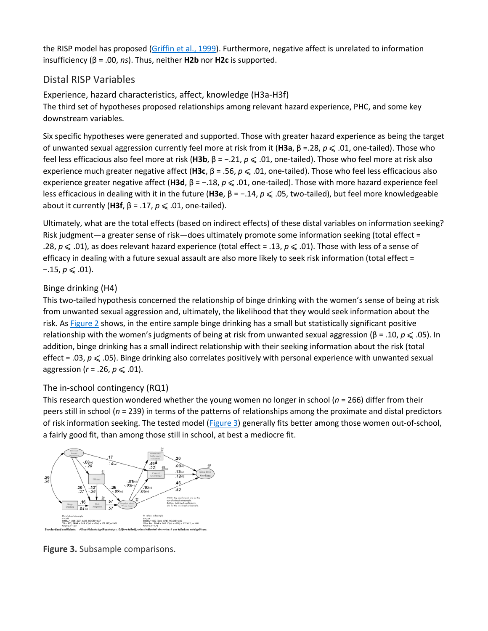the RISP model has proposed [\(Griffin et al., 1999\)](https://journals.sagepub.com/doi/full/10.1177/1077699018801315). Furthermore, negative affect is unrelated to information insufficiency (β = .00, *ns*). Thus, neither **H2b** nor **H2c** is supported.

### Distal RISP Variables

Experience, hazard characteristics, affect, knowledge (H3a-H3f) The third set of hypotheses proposed relationships among relevant hazard experience, PHC, and some key downstream variables.

Six specific hypotheses were generated and supported. Those with greater hazard experience as being the target of unwanted sexual aggression currently feel more at risk from it (**H3a**, β =.28, *p* ⩽ .01, one-tailed). Those who feel less efficacious also feel more at risk (**H3b**, β = −.21, *p* ⩽ .01, one-tailed). Those who feel more at risk also experience much greater negative affect (**H3c**, β = .56, *p* ⩽ .01, one-tailed). Those who feel less efficacious also experience greater negative affect (**H3d**, β = −.18, *p* ⩽ .01, one-tailed). Those with more hazard experience feel less efficacious in dealing with it in the future (**H3e**, β = −.14, *p* ⩽ .05, two-tailed), but feel more knowledgeable about it currently (**H3f**,  $\beta$  = .17,  $p \le 0.01$ , one-tailed).

Ultimately, what are the total effects (based on indirect effects) of these distal variables on information seeking? Risk judgment—a greater sense of risk—does ultimately promote some information seeking (total effect = .28,  $p \le 0.01$ ), as does relevant hazard experience (total effect = .13,  $p \le 0.01$ ). Those with less of a sense of efficacy in dealing with a future sexual assault are also more likely to seek risk information (total effect = −.15,  $p \le 0.01$ ).

### Binge drinking (H4)

This two-tailed hypothesis concerned the relationship of binge drinking with the women's sense of being at risk from unwanted sexual aggression and, ultimately, the likelihood that they would seek information about the risk. As [Figure 2](https://journals.sagepub.com/doi/full/10.1177/1077699018801315) shows, in the entire sample binge drinking has a small but statistically significant positive relationship with the women's judgments of being at risk from unwanted sexual aggression (β = .10, *p* ⩽ .05). In addition, binge drinking has a small indirect relationship with their seeking information about the risk (total effect = .03, *p* ≤ .05). Binge drinking also correlates positively with personal experience with unwanted sexual aggression ( $r = .26$ ,  $p \le .01$ ).

### The in-school contingency (RQ1)

This research question wondered whether the young women no longer in school (*n* = 266) differ from their peers still in school (*n* = 239) in terms of the patterns of relationships among the proximate and distal predictors of risk information seeking. The tested model [\(Figure 3\)](https://journals.sagepub.com/doi/full/10.1177/1077699018801315) generally fits better among those women out-of-school, a fairly good fit, than among those still in school, at best a mediocre fit.



**Figure 3.** Subsample comparisons.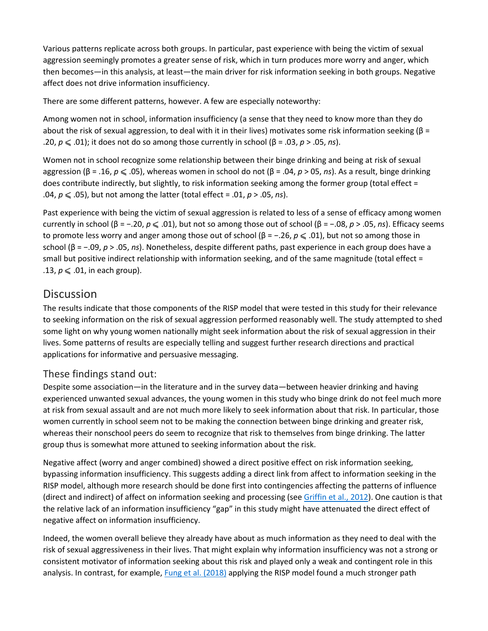Various patterns replicate across both groups. In particular, past experience with being the victim of sexual aggression seemingly promotes a greater sense of risk, which in turn produces more worry and anger, which then becomes—in this analysis, at least—the main driver for risk information seeking in both groups. Negative affect does not drive information insufficiency.

There are some different patterns, however. A few are especially noteworthy:

Among women not in school, information insufficiency (a sense that they need to know more than they do about the risk of sexual aggression, to deal with it in their lives) motivates some risk information seeking ( $\beta$  = .20,  $p \leq 0.01$ ); it does not do so among those currently in school (β = .03,  $p > .05$ , *ns*).

Women not in school recognize some relationship between their binge drinking and being at risk of sexual aggression (β = .16, *p* ⩽ .05), whereas women in school do not (β = .04, *p* > 05, *ns*). As a result, binge drinking does contribute indirectly, but slightly, to risk information seeking among the former group (total effect = .04,  $p \le 0.05$ ), but not among the latter (total effect = .01,  $p > 0.05$ , *ns*).

Past experience with being the victim of sexual aggression is related to less of a sense of efficacy among women currently in school (β = −.20,  $p \le 0.01$ ), but not so among those out of school (β = −.08,  $p > 0.05$ , *ns*). Efficacy seems to promote less worry and anger among those out of school (β = -.26, *p* ≤ .01), but not so among those in school (β = −.09, *p* > .05, *ns*). Nonetheless, despite different paths, past experience in each group does have a small but positive indirect relationship with information seeking, and of the same magnitude (total effect = .13,  $p \leqslant 0.01$ , in each group).

# **Discussion**

The results indicate that those components of the RISP model that were tested in this study for their relevance to seeking information on the risk of sexual aggression performed reasonably well. The study attempted to shed some light on why young women nationally might seek information about the risk of sexual aggression in their lives. Some patterns of results are especially telling and suggest further research directions and practical applications for informative and persuasive messaging.

# These findings stand out:

Despite some association—in the literature and in the survey data—between heavier drinking and having experienced unwanted sexual advances, the young women in this study who binge drink do not feel much more at risk from sexual assault and are not much more likely to seek information about that risk. In particular, those women currently in school seem not to be making the connection between binge drinking and greater risk, whereas their nonschool peers do seem to recognize that risk to themselves from binge drinking. The latter group thus is somewhat more attuned to seeking information about the risk.

Negative affect (worry and anger combined) showed a direct positive effect on risk information seeking, bypassing information insufficiency. This suggests adding a direct link from affect to information seeking in the RISP model, although more research should be done first into contingencies affecting the patterns of influence (direct and indirect) of affect on information seeking and processing (see [Griffin et al., 2012\)](https://journals.sagepub.com/doi/full/10.1177/1077699018801315). One caution is that the relative lack of an information insufficiency "gap" in this study might have attenuated the direct effect of negative affect on information insufficiency.

Indeed, the women overall believe they already have about as much information as they need to deal with the risk of sexual aggressiveness in their lives. That might explain why information insufficiency was not a strong or consistent motivator of information seeking about this risk and played only a weak and contingent role in this analysis. In contrast, for example, **[Fung et al. \(2018\)](https://journals.sagepub.com/doi/full/10.1177/1077699018801315)** applying the RISP model found a much stronger path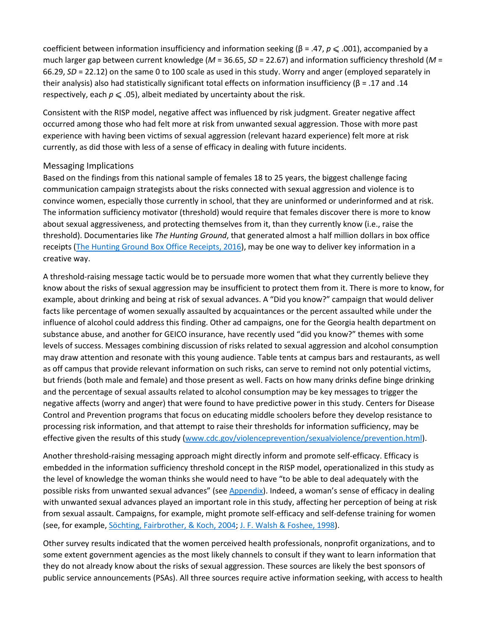coefficient between information insufficiency and information seeking (β = .47, *p* ≤ .001), accompanied by a much larger gap between current knowledge (*M* = 36.65, *SD* = 22.67) and information sufficiency threshold (*M* = 66.29, *SD* = 22.12) on the same 0 to 100 scale as used in this study. Worry and anger (employed separately in their analysis) also had statistically significant total effects on information insufficiency (β = .17 and .14 respectively, each  $p \leq 0.05$ ), albeit mediated by uncertainty about the risk.

Consistent with the RISP model, negative affect was influenced by risk judgment. Greater negative affect occurred among those who had felt more at risk from unwanted sexual aggression. Those with more past experience with having been victims of sexual aggression (relevant hazard experience) felt more at risk currently, as did those with less of a sense of efficacy in dealing with future incidents.

#### Messaging Implications

Based on the findings from this national sample of females 18 to 25 years, the biggest challenge facing communication campaign strategists about the risks connected with sexual aggression and violence is to convince women, especially those currently in school, that they are uninformed or underinformed and at risk. The information sufficiency motivator (threshold) would require that females discover there is more to know about sexual aggressiveness, and protecting themselves from it, than they currently know (i.e., raise the threshold). Documentaries like *The Hunting Ground*, that generated almost a half million dollars in box office receipts [\(The Hunting Ground Box Office Receipts, 2016\)](https://journals.sagepub.com/doi/full/10.1177/1077699018801315), may be one way to deliver key information in a creative way.

A threshold-raising message tactic would be to persuade more women that what they currently believe they know about the risks of sexual aggression may be insufficient to protect them from it. There is more to know, for example, about drinking and being at risk of sexual advances. A "Did you know?" campaign that would deliver facts like percentage of women sexually assaulted by acquaintances or the percent assaulted while under the influence of alcohol could address this finding. Other ad campaigns, one for the Georgia health department on substance abuse, and another for GEICO insurance, have recently used "did you know?" themes with some levels of success. Messages combining discussion of risks related to sexual aggression and alcohol consumption may draw attention and resonate with this young audience. Table tents at campus bars and restaurants, as well as off campus that provide relevant information on such risks, can serve to remind not only potential victims, but friends (both male and female) and those present as well. Facts on how many drinks define binge drinking and the percentage of sexual assaults related to alcohol consumption may be key messages to trigger the negative affects (worry and anger) that were found to have predictive power in this study. Centers for Disease Control and Prevention programs that focus on educating middle schoolers before they develop resistance to processing risk information, and that attempt to raise their thresholds for information sufficiency, may be effective given the results of this study [\(www.cdc.gov/violenceprevention/sexualviolence/prevention.html\)](http://www.cdc.gov/violenceprevention/sexualviolence/prevention.html).

Another threshold-raising messaging approach might directly inform and promote self-efficacy. Efficacy is embedded in the information sufficiency threshold concept in the RISP model, operationalized in this study as the level of knowledge the woman thinks she would need to have "to be able to deal adequately with the possible risks from unwanted sexual advances" (see [Appendix\)](https://journals.sagepub.com/doi/full/10.1177/1077699018801315). Indeed, a woman's sense of efficacy in dealing with unwanted sexual advances played an important role in this study, affecting her perception of being at risk from sexual assault. Campaigns, for example, might promote self-efficacy and self-defense training for women (see, for example, [Söchting, Fairbrother, & Koch, 2004;](https://journals.sagepub.com/doi/full/10.1177/1077699018801315) [J. F. Walsh & Foshee, 1998\)](https://journals.sagepub.com/doi/full/10.1177/1077699018801315).

Other survey results indicated that the women perceived health professionals, nonprofit organizations, and to some extent government agencies as the most likely channels to consult if they want to learn information that they do not already know about the risks of sexual aggression. These sources are likely the best sponsors of public service announcements (PSAs). All three sources require active information seeking, with access to health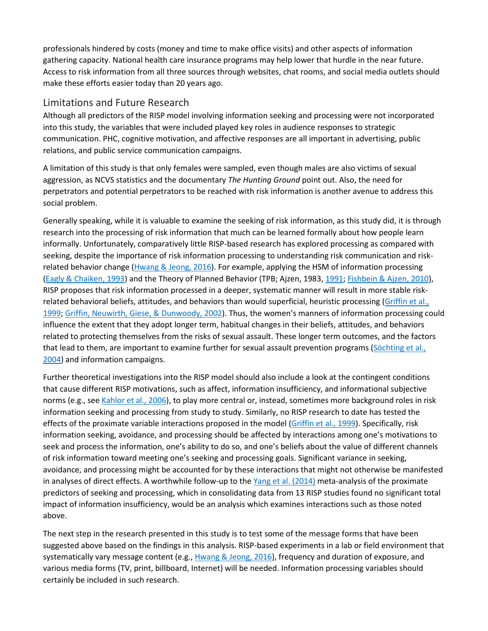professionals hindered by costs (money and time to make office visits) and other aspects of information gathering capacity. National health care insurance programs may help lower that hurdle in the near future. Access to risk information from all three sources through websites, chat rooms, and social media outlets should make these efforts easier today than 20 years ago.

#### Limitations and Future Research

Although all predictors of the RISP model involving information seeking and processing were not incorporated into this study, the variables that were included played key roles in audience responses to strategic communication. PHC, cognitive motivation, and affective responses are all important in advertising, public relations, and public service communication campaigns.

A limitation of this study is that only females were sampled, even though males are also victims of sexual aggression, as NCVS statistics and the documentary *The Hunting Ground* point out. Also, the need for perpetrators and potential perpetrators to be reached with risk information is another avenue to address this social problem.

Generally speaking, while it is valuable to examine the seeking of risk information, as this study did, it is through research into the processing of risk information that much can be learned formally about how people learn informally. Unfortunately, comparatively little RISP-based research has explored processing as compared with seeking, despite the importance of risk information processing to understanding risk communication and risk-related behavior change [\(Hwang & Jeong, 2016\)](https://journals.sagepub.com/doi/full/10.1177/1077699018801315). For example, applying the HSM of information processing [\(Eagly & Chaiken, 1993\)](https://journals.sagepub.com/doi/full/10.1177/1077699018801315) and the Theory of Planned Behavior (TPB; Ajzen, 1983, [1991;](https://journals.sagepub.com/doi/full/10.1177/1077699018801315) [Fishbein & Ajzen, 2010\)](https://journals.sagepub.com/doi/full/10.1177/1077699018801315), RISP proposes that risk information processed in a deeper, systematic manner will result in more stable riskrelated behavioral beliefs, attitudes, and behaviors than would superficial, heuristic processing (Griffin et al., [1999;](https://journals.sagepub.com/doi/full/10.1177/1077699018801315) [Griffin, Neuwirth, Giese, & Dunwoody, 2002\)](https://journals.sagepub.com/doi/full/10.1177/1077699018801315). Thus, the women's manners of information processing could influence the extent that they adopt longer term, habitual changes in their beliefs, attitudes, and behaviors related to protecting themselves from the risks of sexual assault. These longer term outcomes, and the factors that lead to them, are important to examine further for sexual assault prevention programs (Söchting et al., [2004\)](https://journals.sagepub.com/doi/full/10.1177/1077699018801315) and information campaigns.

Further theoretical investigations into the RISP model should also include a look at the contingent conditions that cause different RISP motivations, such as affect, information insufficiency, and informational subjective norms (e.g., see [Kahlor et al., 2006\)](https://journals.sagepub.com/doi/full/10.1177/1077699018801315), to play more central or, instead, sometimes more background roles in risk information seeking and processing from study to study. Similarly, no RISP research to date has tested the effects of the proximate variable interactions proposed in the model [\(Griffin et al., 1999\)](https://journals.sagepub.com/doi/full/10.1177/1077699018801315). Specifically, risk information seeking, avoidance, and processing should be affected by interactions among one's motivations to seek and process the information, one's ability to do so, and one's beliefs about the value of different channels of risk information toward meeting one's seeking and processing goals. Significant variance in seeking, avoidance, and processing might be accounted for by these interactions that might not otherwise be manifested in analyses of direct effects. A worthwhile follow-up to the  $Yang et al. (2014)$  meta-analysis of the proximate predictors of seeking and processing, which in consolidating data from 13 RISP studies found no significant total impact of information insufficiency, would be an analysis which examines interactions such as those noted above.

The next step in the research presented in this study is to test some of the message forms that have been suggested above based on the findings in this analysis. RISP-based experiments in a lab or field environment that systematically vary message content (e.g., [Hwang & Jeong, 2016\)](https://journals.sagepub.com/doi/full/10.1177/1077699018801315), frequency and duration of exposure, and various media forms (TV, print, billboard, Internet) will be needed. Information processing variables should certainly be included in such research.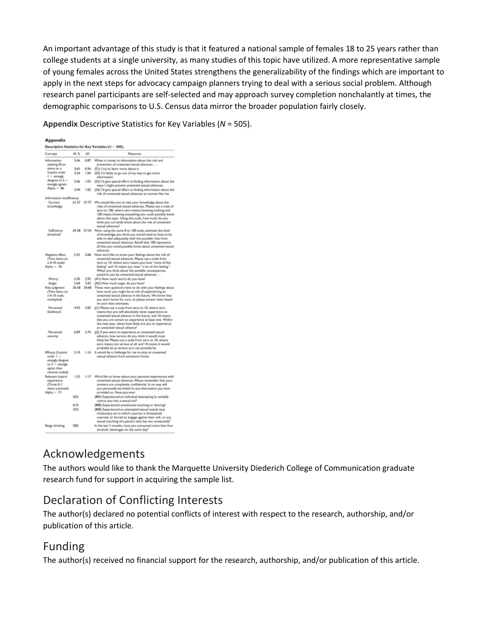An important advantage of this study is that it featured a national sample of females 18 to 25 years rather than college students at a single university, as many studies of this topic have utilized. A more representative sample of young females across the United States strengthens the generalizability of the findings which are important to apply in the next steps for advocacy campaign planners trying to deal with a serious social problem. Although research panel participants are self-selected and may approach survey completion nonchalantly at times, the demographic comparisons to U.S. Census data mirror the broader population fairly closely.

**Appendix** Descriptive Statistics for Key Variables (*N* = 505).

#### Appendix

| Concept                                                                                                       | 从怎    | 50     | Measures                                                                                                                                                                                                                                                                                                                                                            |
|---------------------------------------------------------------------------------------------------------------|-------|--------|---------------------------------------------------------------------------------------------------------------------------------------------------------------------------------------------------------------------------------------------------------------------------------------------------------------------------------------------------------------------|
| Information                                                                                                   | 3.46  | 0.87   | When it comes to information about the risk and                                                                                                                                                                                                                                                                                                                     |
| seeking (Four                                                                                                 |       |        | prevention of unwanted sexual advances                                                                                                                                                                                                                                                                                                                              |
| items on a                                                                                                    | 3.65  | 0.96   | (S1) I try to learn more about it.                                                                                                                                                                                                                                                                                                                                  |
| S-point scale:<br>$1 -$ strongly                                                                              | 3.24  | 1.04   | (S2) I'm likely to go out of my way to get more<br>information.                                                                                                                                                                                                                                                                                                     |
| disagree to \$ =<br>strongly agree).                                                                          | 3.46  | $i$ di | (S3) I'd give special effort to finding information about the<br>ways I might prevent unwanted sexual advances.                                                                                                                                                                                                                                                     |
| $Aigha = .86$                                                                                                 | 3.49  | 1.02   | (54) I'd give special effort to finding information about the<br>risk of unwanted sexual advances to women like me.                                                                                                                                                                                                                                                 |
| Information insufficiency                                                                                     |       |        |                                                                                                                                                                                                                                                                                                                                                                     |
| Current<br>knowledge                                                                                          | 61.37 |        | 27.77 We would like you to rate your knowledge about the<br>risks of unwanted sexual advances. Please use a scale of<br>zero to 100, where zero means knowing nothing and<br>100 means knowing everything you could possibly know<br>about this topic. Using this scale, how much do you<br>think you currently know about the risk of unwanted<br>sexual advances? |
| Sufficiency<br>threshold                                                                                      |       |        | 69.38 27.54 Now, using the same 0 to 100 scale, estimate the level<br>of knowledge you think you would need to have to be<br>able to deal adequately with the possible risks from<br>unwanted sexual advances. Recall that 100 represents<br>all that you could possibly know about unwanted sexual<br>advances.                                                    |
| Negative affect<br>(Two items on<br>a 0-10 scale)<br>$Alpha = Jb$                                             | 5.55  |        | 2.68 Now we'd like to know your feelings about the risk of<br>unwanted sexual advances. Please use a scale from<br>zero to 10, where zero means you have "none of this<br>feeling" and 10 means you have "a lot of this feeling."<br>When you think about the possible consequences<br>posed to you by unwanted sexual advances                                     |
| Worry                                                                                                         | 5.50  | 2.92   | (A1) How much worry do you have?                                                                                                                                                                                                                                                                                                                                    |
| Anger                                                                                                         | 5.60  | 3.05   | (A2) How much anger do you have!                                                                                                                                                                                                                                                                                                                                    |
| <b>Risk judgment</b><br>(Two items on<br>a 0-10 scale,<br>multiplied)                                         | 26.58 | 24.68  | These next questions have to do with your feelings about<br>how much you might be at risk of experiencing an<br>unwanted sexual advance in the future. We know that<br>you don't know for sure, so please answer them based<br>on your best estimates.                                                                                                              |
| Perceived<br>likelihood                                                                                       | 4.93  | 2.85   | ([1) Please use a scale from zero to 10, where zero<br>means that you will absolutely never experience an<br>unwanted sexual advance in the future, and 10 means.<br>that you are certain to experience at least one. Within<br>the next year, about how likely are you to experience<br>an unwanted sexual advance?                                                |
| Perceived<br>severity                                                                                         | 6.09  |        | 2.74 (2) If you were to experience an unwanted sexual<br>advance, how serious do you think it would most<br>likely be? Please use a scale from zero to 10, where<br>zero means not serious at all, and 10 means it would<br>probably be as serious as it can possibly be.                                                                                           |
| Efficacy (S-point)<br>$scale: 1 -$<br>strongly disagree<br>$to 5 = stromgly$<br>agree: then<br>reverse coded) | 110   |        | 1.16 It would be a challenge for me to stop an unwanted<br>sexual advance from someone I know.                                                                                                                                                                                                                                                                      |
| Relevant hazard<br>experience<br>(Three 0-1<br>items summed)<br>Alpha = $J1$                                  | 1.53  |        | 1.17 We'd like to know about your personal experiences with<br>unwanted sexual advances. Please remember that your<br>answers are completely confidential. In no way will<br>you personally be linked to any information you have<br>provided us. Have you ever:                                                                                                    |
|                                                                                                               | 56%   |        | (H1) Experienced an individual attempting to verbally<br>coerce you into a sexual act?                                                                                                                                                                                                                                                                              |
|                                                                                                               | 61%   |        | (H2) Experienced unwelcome touching or dancing?                                                                                                                                                                                                                                                                                                                     |
|                                                                                                               | 35%   |        | (H3) Experienced an attempted sexual assault (any<br>involuntary act in which a person is threatened,<br>coerced, or forced to engage against their will, or any<br>sexual touching of a person who has not consented)?                                                                                                                                             |
| Binge drinking                                                                                                | 28%   |        | In the last 3 months, have you consumed more than four                                                                                                                                                                                                                                                                                                              |
|                                                                                                               |       |        |                                                                                                                                                                                                                                                                                                                                                                     |

# Acknowledgements

The authors would like to thank the Marquette University Diederich College of Communication graduate research fund for support in acquiring the sample list.

# Declaration of Conflicting Interests

The author(s) declared no potential conflicts of interest with respect to the research, authorship, and/or publication of this article.

# Funding

The author(s) received no financial support for the research, authorship, and/or publication of this article.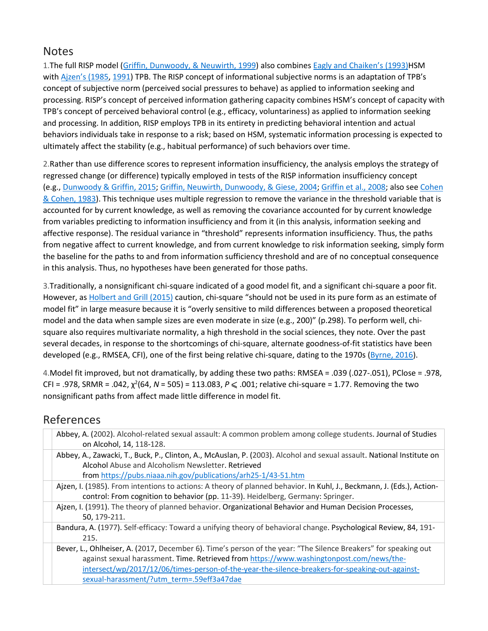# Notes

1. The full RISP model [\(Griffin, Dunwoody, & Neuwirth, 1999\)](https://journals.sagepub.com/doi/full/10.1177/1077699018801315) also combines [Eagly and Chaiken's \(1993\)H](https://journals.sagepub.com/doi/full/10.1177/1077699018801315)SM with [Ajzen's \(1985,](https://journals.sagepub.com/doi/full/10.1177/1077699018801315) [1991\)](https://journals.sagepub.com/doi/full/10.1177/1077699018801315) TPB. The RISP concept of informational subjective norms is an adaptation of TPB's concept of subjective norm (perceived social pressures to behave) as applied to information seeking and processing. RISP's concept of perceived information gathering capacity combines HSM's concept of capacity with TPB's concept of perceived behavioral control (e.g., efficacy, voluntariness) as applied to information seeking and processing. In addition, RISP employs TPB in its entirety in predicting behavioral intention and actual behaviors individuals take in response to a risk; based on HSM, systematic information processing is expected to ultimately affect the stability (e.g., habitual performance) of such behaviors over time.

2.Rather than use difference scores to represent information insufficiency, the analysis employs the strategy of regressed change (or difference) typically employed in tests of the RISP information insufficiency concept (e.g., [Dunwoody & Griffin, 2015;](https://journals.sagepub.com/doi/full/10.1177/1077699018801315) [Griffin, Neuwirth, Dunwoody, & Giese, 2004;](https://journals.sagepub.com/doi/full/10.1177/1077699018801315) [Griffin et al., 2008;](https://journals.sagepub.com/doi/full/10.1177/1077699018801315) also see [Cohen](https://journals.sagepub.com/doi/full/10.1177/1077699018801315)  & [Cohen, 1983\)](https://journals.sagepub.com/doi/full/10.1177/1077699018801315). This technique uses multiple regression to remove the variance in the threshold variable that is accounted for by current knowledge, as well as removing the covariance accounted for by current knowledge from variables predicting to information insufficiency and from it (in this analysis, information seeking and affective response). The residual variance in "threshold" represents information insufficiency. Thus, the paths from negative affect to current knowledge, and from current knowledge to risk information seeking, simply form the baseline for the paths to and from information sufficiency threshold and are of no conceptual consequence in this analysis. Thus, no hypotheses have been generated for those paths.

3.Traditionally, a nonsignificant chi-square indicated of a good model fit, and a significant chi-square a poor fit. However, as [Holbert and Grill \(2015\)](https://journals.sagepub.com/doi/full/10.1177/1077699018801315) caution, chi-square "should not be used in its pure form as an estimate of model fit" in large measure because it is "overly sensitive to mild differences between a proposed theoretical model and the data when sample sizes are even moderate in size (e.g., 200)" (p.298). To perform well, chisquare also requires multivariate normality, a high threshold in the social sciences, they note. Over the past several decades, in response to the shortcomings of chi-square, alternate goodness-of-fit statistics have been developed (e.g., RMSEA, CFI), one of the first being relative chi-square, dating to the 1970s [\(Byrne, 2016\)](https://journals.sagepub.com/doi/full/10.1177/1077699018801315).

4.Model fit improved, but not dramatically, by adding these two paths: RMSEA = .039 (.027-.051), PClose = .978,  $CFI = .978$ , SRMR = .042,  $\chi^2(64, N = 505) = 113.083, P \le .001$ ; relative chi-square = 1.77. Removing the two nonsignificant paths from affect made little difference in model fit.

# References

| Abbey, A. (2002). Alcohol-related sexual assault: A common problem among college students. Journal of Studies<br>on Alcohol, 14, 118-128. |
|-------------------------------------------------------------------------------------------------------------------------------------------|
| Abbey, A., Zawacki, T., Buck, P., Clinton, A., McAuslan, P. (2003). Alcohol and sexual assault. National Institute on                     |
| Alcohol Abuse and Alcoholism Newsletter, Retrieved                                                                                        |
| from https://pubs.niaaa.nih.gov/publications/arh25-1/43-51.htm                                                                            |
| Ajzen, I. (1985). From intentions to actions: A theory of planned behavior. In Kuhl, J., Beckmann, J. (Eds.), Action-                     |
| control: From cognition to behavior (pp. 11-39). Heidelberg, Germany: Springer.                                                           |
| Ajzen, I. (1991). The theory of planned behavior. Organizational Behavior and Human Decision Processes,                                   |
| 50, 179-211.                                                                                                                              |
| Bandura, A. (1977). Self-efficacy: Toward a unifying theory of behavioral change. Psychological Review, 84, 191-                          |
| 215.                                                                                                                                      |
| Bever, L., Ohlheiser, A. (2017, December 6). Time's person of the year: "The Silence Breakers" for speaking out                           |
| against sexual harassment. Time. Retrieved from https://www.washingtonpost.com/news/the-                                                  |
| intersect/wp/2017/12/06/times-person-of-the-year-the-silence-breakers-for-speaking-out-against-                                           |
| sexual-harassment/?utm_term=.59eff3a47dae                                                                                                 |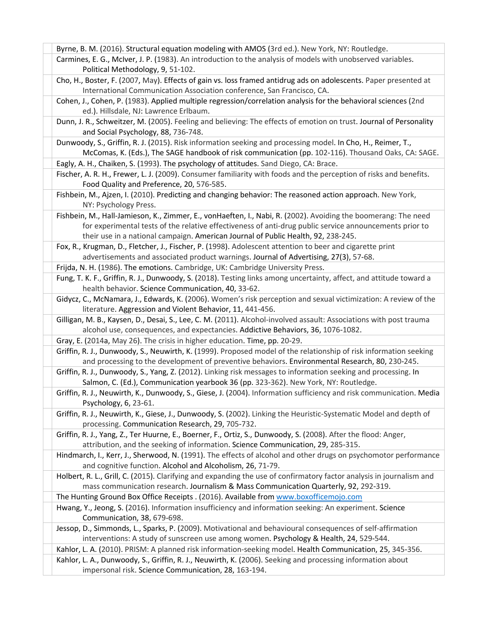| Byrne, B. M. (2016). Structural equation modeling with AMOS (3rd ed.). New York, NY: Routledge.                                                                                                              |
|--------------------------------------------------------------------------------------------------------------------------------------------------------------------------------------------------------------|
| Carmines, E. G., McIver, J. P. (1983). An introduction to the analysis of models with unobserved variables.                                                                                                  |
| Political Methodology, 9, 51-102.                                                                                                                                                                            |
| Cho, H., Boster, F. (2007, May). Effects of gain vs. loss framed antidrug ads on adolescents. Paper presented at                                                                                             |
| International Communication Association conference, San Francisco, CA.                                                                                                                                       |
| Cohen, J., Cohen, P. (1983). Applied multiple regression/correlation analysis for the behavioral sciences (2nd                                                                                               |
| ed.). Hillsdale, NJ: Lawrence Erlbaum.                                                                                                                                                                       |
| Dunn, J. R., Schweitzer, M. (2005). Feeling and believing: The effects of emotion on trust. Journal of Personality                                                                                           |
| and Social Psychology, 88, 736-748.                                                                                                                                                                          |
| Dunwoody, S., Griffin, R. J. (2015). Risk information seeking and processing model. In Cho, H., Reimer, T.,                                                                                                  |
| McComas, K. (Eds.), The SAGE handbook of risk communication (pp. 102-116). Thousand Oaks, CA: SAGE.                                                                                                          |
| Eagly, A. H., Chaiken, S. (1993). The psychology of attitudes. Sand Diego, CA: Brace.                                                                                                                        |
| Fischer, A. R. H., Frewer, L. J. (2009). Consumer familiarity with foods and the perception of risks and benefits.                                                                                           |
| Food Quality and Preference, 20, 576-585.                                                                                                                                                                    |
| Fishbein, M., Ajzen, I. (2010). Predicting and changing behavior: The reasoned action approach. New York,                                                                                                    |
| NY: Psychology Press.                                                                                                                                                                                        |
| Fishbein, M., Hall-Jamieson, K., Zimmer, E., vonHaeften, I., Nabi, R. (2002). Avoiding the boomerang: The need                                                                                               |
| for experimental tests of the relative effectiveness of anti-drug public service announcements prior to                                                                                                      |
| their use in a national campaign. American Journal of Public Health, 92, 238-245.                                                                                                                            |
| Fox, R., Krugman, D., Fletcher, J., Fischer, P. (1998). Adolescent attention to beer and cigarette print                                                                                                     |
| advertisements and associated product warnings. Journal of Advertising, 27(3), 57-68.                                                                                                                        |
| Frijda, N. H. (1986). The emotions. Cambridge, UK: Cambridge University Press.                                                                                                                               |
| Fung, T. K. F., Griffin, R. J., Dunwoody, S. (2018). Testing links among uncertainty, affect, and attitude toward a                                                                                          |
| health behavior. Science Communication, 40, 33-62.                                                                                                                                                           |
| Gidycz, C., McNamara, J., Edwards, K. (2006). Women's risk perception and sexual victimization: A review of the                                                                                              |
| literature. Aggression and Violent Behavior, 11, 441-456.                                                                                                                                                    |
| Gilligan, M. B., Kaysen, D., Desai, S., Lee, C. M. (2011). Alcohol-involved assault: Associations with post trauma                                                                                           |
| alcohol use, consequences, and expectancies. Addictive Behaviors, 36, 1076-1082.                                                                                                                             |
| Gray, E. (2014a, May 26). The crisis in higher education. Time, pp. 20-29.                                                                                                                                   |
| Griffin, R. J., Dunwoody, S., Neuwirth, K. (1999). Proposed model of the relationship of risk information seeking                                                                                            |
| and processing to the development of preventive behaviors. Environmental Research, 80, 230-245.                                                                                                              |
| Griffin, R. J., Dunwoody, S., Yang, Z. (2012). Linking risk messages to information seeking and processing. In                                                                                               |
| Salmon, C. (Ed.), Communication yearbook 36 (pp. 323-362). New York, NY: Routledge.                                                                                                                          |
| Griffin, R. J., Neuwirth, K., Dunwoody, S., Giese, J. (2004). Information sufficiency and risk communication. Media                                                                                          |
| Psychology, 6, 23-61.                                                                                                                                                                                        |
| Griffin, R. J., Neuwirth, K., Giese, J., Dunwoody, S. (2002). Linking the Heuristic-Systematic Model and depth of                                                                                            |
| processing. Communication Research, 29, 705-732.                                                                                                                                                             |
| Griffin, R. J., Yang, Z., Ter Huurne, E., Boerner, F., Ortiz, S., Dunwoody, S. (2008). After the flood: Anger,                                                                                               |
| attribution, and the seeking of information. Science Communication, 29, 285-315.                                                                                                                             |
| Hindmarch, I., Kerr, J., Sherwood, N. (1991). The effects of alcohol and other drugs on psychomotor performance                                                                                              |
| and cognitive function. Alcohol and Alcoholism, 26, 71-79.                                                                                                                                                   |
| Holbert, R. L., Grill, C. (2015). Clarifying and expanding the use of confirmatory factor analysis in journalism and<br>mass communication research. Journalism & Mass Communication Quarterly, 92, 292-319. |
|                                                                                                                                                                                                              |
| The Hunting Ground Box Office Receipts . (2016). Available from www.boxofficemojo.com<br>Hwang, Y., Jeong, S. (2016). Information insufficiency and information seeking: An experiment. Science              |
| Communication, 38, 679-698.                                                                                                                                                                                  |
| Jessop, D., Simmonds, L., Sparks, P. (2009). Motivational and behavioural consequences of self-affirmation                                                                                                   |
| interventions: A study of sunscreen use among women. Psychology & Health, 24, 529-544.                                                                                                                       |
| Kahlor, L. A. (2010). PRISM: A planned risk information-seeking model. Health Communication, 25, 345-356.                                                                                                    |
| Kahlor, L. A., Dunwoody, S., Griffin, R. J., Neuwirth, K. (2006). Seeking and processing information about                                                                                                   |
| impersonal risk. Science Communication, 28, 163-194.                                                                                                                                                         |
|                                                                                                                                                                                                              |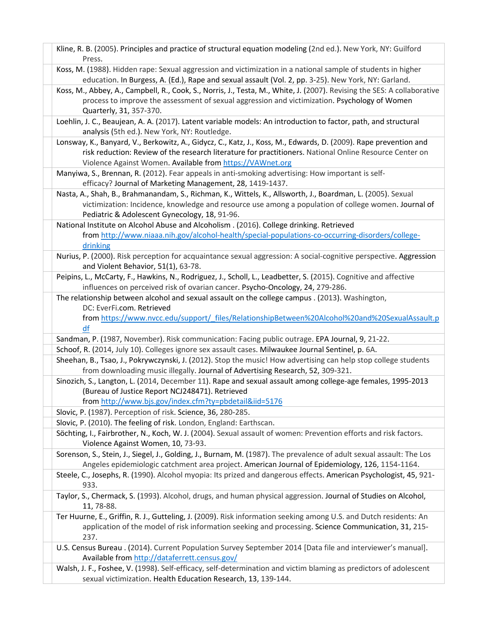| Kline, R. B. (2005). Principles and practice of structural equation modeling (2nd ed.). New York, NY: Guilford<br>Press.                                                                                                                                                                 |  |
|------------------------------------------------------------------------------------------------------------------------------------------------------------------------------------------------------------------------------------------------------------------------------------------|--|
| Koss, M. (1988). Hidden rape: Sexual aggression and victimization in a national sample of students in higher<br>education. In Burgess, A. (Ed.), Rape and sexual assault (Vol. 2, pp. 3-25). New York, NY: Garland.                                                                      |  |
| Koss, M., Abbey, A., Campbell, R., Cook, S., Norris, J., Testa, M., White, J. (2007). Revising the SES: A collaborative<br>process to improve the assessment of sexual aggression and victimization. Psychology of Women<br>Quarterly, 31, 357-370.                                      |  |
| Loehlin, J. C., Beaujean, A. A. (2017). Latent variable models: An introduction to factor, path, and structural<br>analysis (5th ed.). New York, NY: Routledge.                                                                                                                          |  |
| Lonsway, K., Banyard, V., Berkowitz, A., Gidycz, C., Katz, J., Koss, M., Edwards, D. (2009). Rape prevention and<br>risk reduction: Review of the research literature for practitioners. National Online Resource Center on<br>Violence Against Women. Available from https://VAWnet.org |  |
| Manyiwa, S., Brennan, R. (2012). Fear appeals in anti-smoking advertising: How important is self-<br>efficacy? Journal of Marketing Management, 28, 1419-1437.                                                                                                                           |  |
| Nasta, A., Shah, B., Brahmanandam, S., Richman, K., Wittels, K., Allsworth, J., Boardman, L. (2005). Sexual<br>victimization: Incidence, knowledge and resource use among a population of college women. Journal of<br>Pediatric & Adolescent Gynecology, 18, 91-96.                     |  |
| National Institute on Alcohol Abuse and Alcoholism . (2016). College drinking. Retrieved<br>from http://www.niaaa.nih.gov/alcohol-health/special-populations-co-occurring-disorders/college-<br>drinking                                                                                 |  |
| Nurius, P. (2000). Risk perception for acquaintance sexual aggression: A social-cognitive perspective. Aggression<br>and Violent Behavior, 51(1), 63-78.                                                                                                                                 |  |
| Peipins, L., McCarty, F., Hawkins, N., Rodriguez, J., Scholl, L., Leadbetter, S. (2015). Cognitive and affective<br>influences on perceived risk of ovarian cancer. Psycho-Oncology, 24, 279-286.                                                                                        |  |
| The relationship between alcohol and sexual assault on the college campus . (2013). Washington,<br>DC: EverFi.com. Retrieved<br>from https://www.nvcc.edu/support/ files/RelationshipBetween%20Alcohol%20and%20SexualAssault.p                                                           |  |
| df<br>Sandman, P. (1987, November). Risk communication: Facing public outrage. EPA Journal, 9, 21-22.                                                                                                                                                                                    |  |
| Schoof, R. (2014, July 10). Colleges ignore sex assault cases. Milwaukee Journal Sentinel, p. 6A.                                                                                                                                                                                        |  |
| Sheehan, B., Tsao, J., Pokrywczynski, J. (2012). Stop the music! How advertising can help stop college students<br>from downloading music illegally. Journal of Advertising Research, 52, 309-321.                                                                                       |  |
| Sinozich, S., Langton, L. (2014, December 11). Rape and sexual assault among college-age females, 1995-2013<br>(Bureau of Justice Report NCJ248471). Retrieved                                                                                                                           |  |
| from http://www.bjs.gov/index.cfm?ty=pbdetail&iid=5176                                                                                                                                                                                                                                   |  |
| Slovic, P. (1987). Perception of risk. Science, 36, 280-285.<br>Slovic, P. (2010). The feeling of risk. London, England: Earthscan.                                                                                                                                                      |  |
| Söchting, I., Fairbrother, N., Koch, W. J. (2004). Sexual assault of women: Prevention efforts and risk factors.<br>Violence Against Women, 10, 73-93.                                                                                                                                   |  |
| Sorenson, S., Stein, J., Siegel, J., Golding, J., Burnam, M. (1987). The prevalence of adult sexual assault: The Los<br>Angeles epidemiologic catchment area project. American Journal of Epidemiology, 126, 1154-1164.                                                                  |  |
| Steele, C., Josephs, R. (1990). Alcohol myopia: Its prized and dangerous effects. American Psychologist, 45, 921-<br>933.                                                                                                                                                                |  |
| Taylor, S., Chermack, S. (1993). Alcohol, drugs, and human physical aggression. Journal of Studies on Alcohol,<br>11, 78-88.                                                                                                                                                             |  |
| Ter Huurne, E., Griffin, R. J., Gutteling, J. (2009). Risk information seeking among U.S. and Dutch residents: An<br>application of the model of risk information seeking and processing. Science Communication, 31, 215-<br>237.                                                        |  |
| U.S. Census Bureau . (2014). Current Population Survey September 2014 [Data file and interviewer's manual].<br>Available from http://dataferrett.census.gov/                                                                                                                             |  |
| Walsh, J. F., Foshee, V. (1998). Self-efficacy, self-determination and victim blaming as predictors of adolescent<br>sexual victimization. Health Education Research, 13, 139-144.                                                                                                       |  |